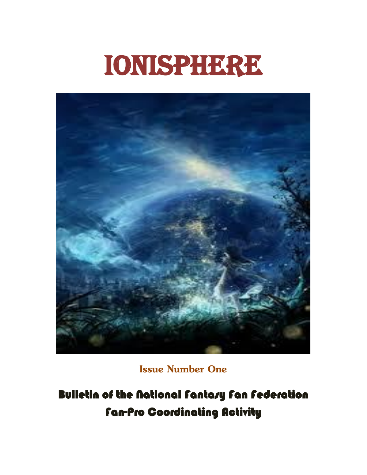## Ionisphere



**Issue Number One**

Bulletin of the National Fantasy Fan Federation Fan-Pro Coordinating Activity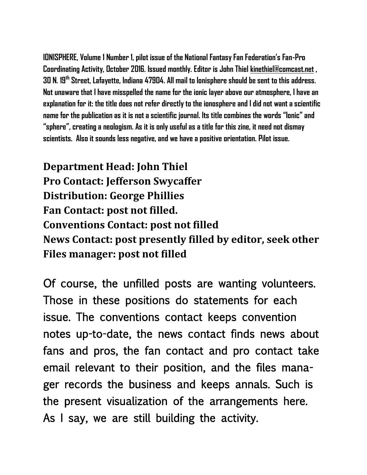**IONISPHERE, Volume 1 Number 1, pilot issue of the National Fantasy Fan Federation's Fan-Pro Coordinating Activity, October 2016. Issued monthly. Editor is John Thiel [kinethiel@comcast.net](mailto:kinethiel@comcast.net) , 30 N. 19th Street, Lafayette, Indiana 47904. All mail to Ionisphere should be sent to this address. Not unaware that I have misspelled the name for the ionic layer above our atmosphere, I have an explanation for it: the title does not refer directly to the ionosphere and I did not want a scientific name for the publication as it is not a scientific journal. Its title combines the words "Ionic" and "sphere", creating a neologism. As it is only useful as a title for this zine, it need not dismay scientists. Also it sounds less negative, and we have a positive orientation. Pilot issue.**

**Department Head: John Thiel Pro Contact: Jefferson Swycaffer Distribution: George Phillies Fan Contact: post not filled. Conventions Contact: post not filled News Contact: post presently filled by editor, seek other Files manager: post not filled**

Of course, the unfilled posts are wanting volunteers. Those in these positions do statements for each issue. The conventions contact keeps convention notes up-to-date, the news contact finds news about fans and pros, the fan contact and pro contact take email relevant to their position, and the files manager records the business and keeps annals. Such is the present visualization of the arrangements here. As I say, we are still building the activity.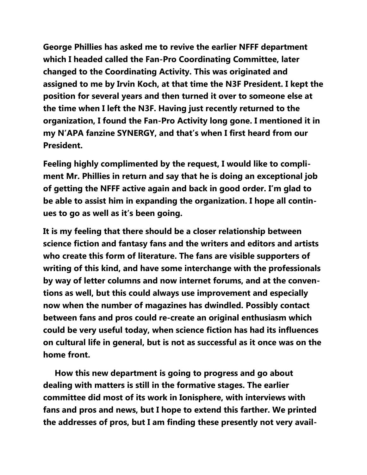**George Phillies has asked me to revive the earlier NFFF department which I headed called the Fan-Pro Coordinating Committee, later changed to the Coordinating Activity. This was originated and assigned to me by Irvin Koch, at that time the N3F President. I kept the position for several years and then turned it over to someone else at the time when I left the N3F. Having just recently returned to the organization, I found the Fan-Pro Activity long gone. I mentioned it in my N'APA fanzine SYNERGY, and that's when I first heard from our President.**

**Feeling highly complimented by the request, I would like to compliment Mr. Phillies in return and say that he is doing an exceptional job of getting the NFFF active again and back in good order. I'm glad to be able to assist him in expanding the organization. I hope all continues to go as well as it's been going.**

**It is my feeling that there should be a closer relationship between science fiction and fantasy fans and the writers and editors and artists who create this form of literature. The fans are visible supporters of writing of this kind, and have some interchange with the professionals by way of letter columns and now internet forums, and at the conventions as well, but this could always use improvement and especially now when the number of magazines has dwindled. Possibly contact between fans and pros could re-create an original enthusiasm which could be very useful today, when science fiction has had its influences on cultural life in general, but is not as successful as it once was on the home front.**

 **How this new department is going to progress and go about dealing with matters is still in the formative stages. The earlier committee did most of its work in Ionisphere, with interviews with fans and pros and news, but I hope to extend this farther. We printed the addresses of pros, but I am finding these presently not very avail-**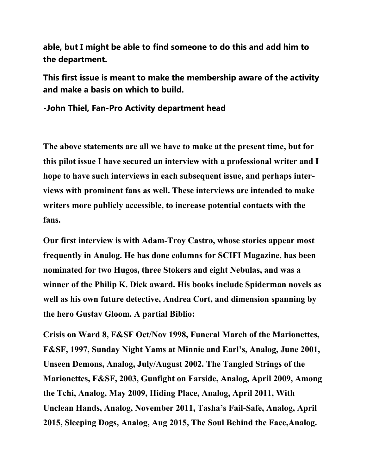**able, but I might be able to find someone to do this and add him to the department.**

**This first issue is meant to make the membership aware of the activity and make a basis on which to build.**

**-John Thiel, Fan-Pro Activity department head**

**The above statements are all we have to make at the present time, but for this pilot issue I have secured an interview with a professional writer and I hope to have such interviews in each subsequent issue, and perhaps interviews with prominent fans as well. These interviews are intended to make writers more publicly accessible, to increase potential contacts with the fans.**

**Our first interview is with Adam-Troy Castro, whose stories appear most frequently in Analog. He has done columns for SCIFI Magazine, has been nominated for two Hugos, three Stokers and eight Nebulas, and was a winner of the Philip K. Dick award. His books include Spiderman novels as well as his own future detective, Andrea Cort, and dimension spanning by the hero Gustav Gloom. A partial Biblio:**

**Crisis on Ward 8, F&SF Oct/Nov 1998, Funeral March of the Marionettes, F&SF, 1997, Sunday Night Yams at Minnie and Earl's, Analog, June 2001, Unseen Demons, Analog, July/August 2002. The Tangled Strings of the Marionettes, F&SF, 2003, Gunfight on Farside, Analog, April 2009, Among the Tchi, Analog, May 2009, Hiding Place, Analog, April 2011, With Unclean Hands, Analog, November 2011, Tasha's Fail-Safe, Analog, April 2015, Sleeping Dogs, Analog, Aug 2015, The Soul Behind the Face,Analog.**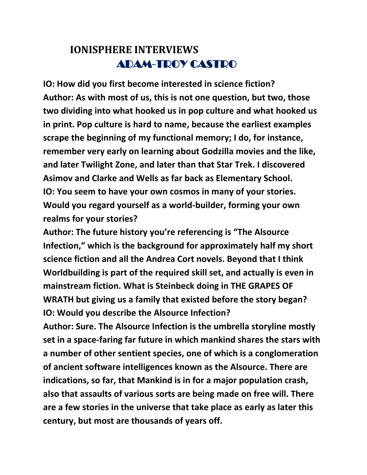## **IONISPHERE INTERVIEWS** ADAM-TROY CASTRO

**IO: How did you first become interested in science fiction? Author: As with most of us, this is not one question, but two, those two dividing into what hooked us in pop culture and what hooked us in print. Pop culture is hard to name, because the earliest examples scrape the beginning of my functional memory; I do, for instance, remember very early on learning about Godzilla movies and the like, and later Twilight Zone, and later than that Star Trek. I discovered Asimov and Clarke and Wells as far back as Elementary School. IO: You seem to have your own cosmos in many of your stories. Would you regard yourself as a world-builder, forming your own realms for your stories?**

**Author: The future history you're referencing is "The Alsource Infection," which is the background for approximately half my short science fiction and all the Andrea Cort novels. Beyond that I think Worldbuilding is part of the required skill set, and actually is even in mainstream fiction. What is Steinbeck doing in THE GRAPES OF WRATH but giving us a family that existed before the story began? IO: Would you describe the Alsource Infection?**

**Author: Sure. The Alsource Infection is the umbrella storyline mostly set in a space-faring far future in which mankind shares the stars with a number of other sentient species, one of which is a conglomeration of ancient software intelligences known as the Alsource. There are indications, so far, that Mankind is in for a major population crash, also that assaults of various sorts are being made on free will. There are a few stories in the universe that take place as early as later this century, but most are thousands of years off.**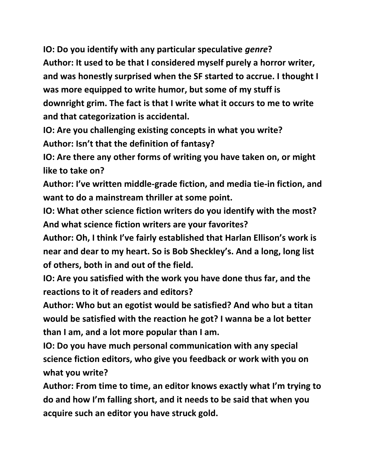**IO: Do you identify with any particular speculative** *genre***? Author: It used to be that I considered myself purely a horror writer, and was honestly surprised when the SF started to accrue. I thought I was more equipped to write humor, but some of my stuff is downright grim. The fact is that I write what it occurs to me to write and that categorization is accidental.**

**IO: Are you challenging existing concepts in what you write? Author: Isn't that the definition of fantasy?**

**IO: Are there any other forms of writing you have taken on, or might like to take on?**

**Author: I've written middle-grade fiction, and media tie-in fiction, and want to do a mainstream thriller at some point.**

**IO: What other science fiction writers do you identify with the most? And what science fiction writers are your favorites?**

**Author: Oh, I think I've fairly established that Harlan Ellison's work is near and dear to my heart. So is Bob Sheckley's. And a long, long list of others, both in and out of the field.**

**IO: Are you satisfied with the work you have done thus far, and the reactions to it of readers and editors?**

**Author: Who but an egotist would be satisfied? And who but a titan would be satisfied with the reaction he got? I wanna be a lot better than I am, and a lot more popular than I am.**

**IO: Do you have much personal communication with any special science fiction editors, who give you feedback or work with you on what you write?**

**Author: From time to time, an editor knows exactly what I'm trying to do and how I'm falling short, and it needs to be said that when you acquire such an editor you have struck gold.**